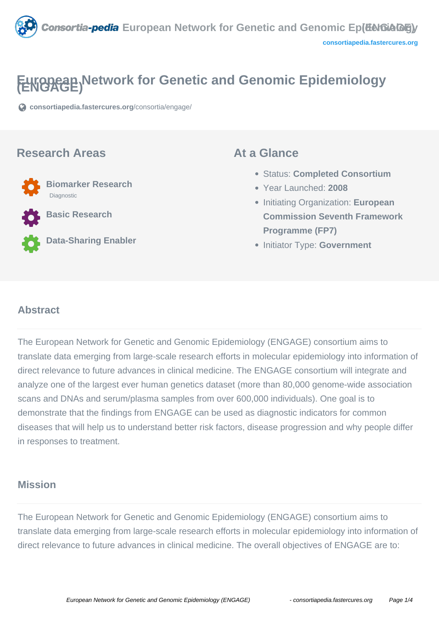

# **FEWGOGE) Network for Genetic and Genomic Epidemiology**

**[consortiapedia.fastercures.org](https://consortiapedia.fastercures.org/consortia/engage/)**[/consortia/engage/](https://consortiapedia.fastercures.org/consortia/engage/)

#### **Research Areas**



**Basic Research**

**Data-Sharing Enabler**

#### **At a Glance**

- Status: **Completed Consortium**
- Year Launched: **2008**
- Initiating Organization: **European Commission Seventh Framework Programme (FP7)**
- **Initiator Type: Government**

#### $\overline{a}$ **Abstract**

The European Network for Genetic and Genomic Epidemiology (ENGAGE) consortium aims to translate data emerging from large-scale research efforts in molecular epidemiology into information of direct relevance to future advances in clinical medicine. The ENGAGE consortium will integrate and analyze one of the largest ever human genetics dataset (more than 80,000 genome-wide association scans and DNAs and serum/plasma samples from over 600,000 individuals). One goal is to demonstrate that the findings from ENGAGE can be used as diagnostic indicators for common diseases that will help us to understand better risk factors, disease progression and why people differ in responses to treatment.

### **Mission**

The European Network for Genetic and Genomic Epidemiology (ENGAGE) consortium aims to translate data emerging from large-scale research efforts in molecular epidemiology into information of direct relevance to future advances in clinical medicine. The overall objectives of ENGAGE are to: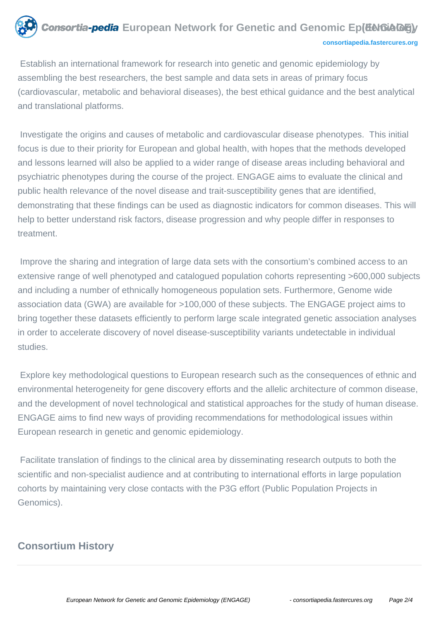#### **Consortia-pedia** European Network for Genetic and Genomic Ep(**EeKGAGE**) **[consortiapedia.fastercures.org](http://consortiapedia.fastercures.org/)**

 Establish an international framework for research into genetic and genomic epidemiology by assembling the best researchers, the best sample and data sets in areas of primary focus (cardiovascular, metabolic and behavioral diseases), the best ethical guidance and the best analytical and translational platforms.

 Investigate the origins and causes of metabolic and cardiovascular disease phenotypes. This initial focus is due to their priority for European and global health, with hopes that the methods developed and lessons learned will also be applied to a wider range of disease areas including behavioral and psychiatric phenotypes during the course of the project. ENGAGE aims to evaluate the clinical and public health relevance of the novel disease and trait-susceptibility genes that are identified, demonstrating that these findings can be used as diagnostic indicators for common diseases. This will help to better understand risk factors, disease progression and why people differ in responses to treatment.

 Improve the sharing and integration of large data sets with the consortium's combined access to an extensive range of well phenotyped and catalogued population cohorts representing >600,000 subjects and including a number of ethnically homogeneous population sets. Furthermore, Genome wide association data (GWA) are available for >100,000 of these subjects. The ENGAGE project aims to bring together these datasets efficiently to perform large scale integrated genetic association analyses in order to accelerate discovery of novel disease-susceptibility variants undetectable in individual studies.

 Explore key methodological questions to European research such as the consequences of ethnic and environmental heterogeneity for gene discovery efforts and the allelic architecture of common disease, and the development of novel technological and statistical approaches for the study of human disease. ENGAGE aims to find new ways of providing recommendations for methodological issues within European research in genetic and genomic epidemiology.

 Facilitate translation of findings to the clinical area by disseminating research outputs to both the scientific and non-specialist audience and at contributing to international efforts in large population cohorts by maintaining very close contacts with the P3G effort (Public Population Projects in Genomics).

# **Consortium History**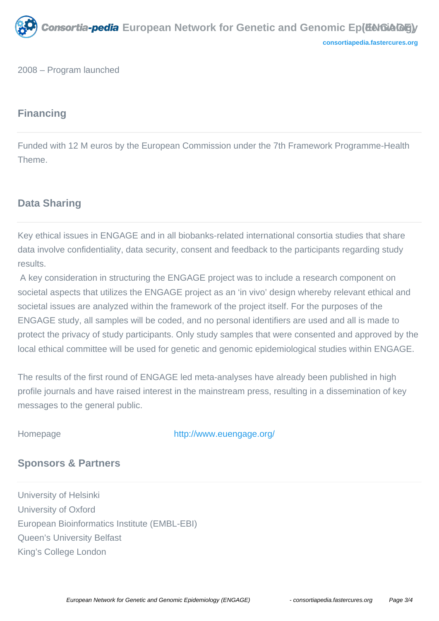

2008 – Program launched

# **Financing**

Funded with 12 M euros by the European Commission under the 7th Framework Programme-Health Theme.

# **Data Sharing**

Key ethical issues in ENGAGE and in all biobanks-related international consortia studies that share data involve confidentiality, data security, consent and feedback to the participants regarding study results.

 A key consideration in structuring the ENGAGE project was to include a research component on societal aspects that utilizes the ENGAGE project as an 'in vivo' design whereby relevant ethical and societal issues are analyzed within the framework of the project itself. For the purposes of the ENGAGE study, all samples will be coded, and no personal identifiers are used and all is made to protect the privacy of study participants. Only study samples that were consented and approved by the local ethical committee will be used for genetic and genomic epidemiological studies within ENGAGE.

The results of the first round of ENGAGE led meta-analyses have already been published in high profile journals and have raised interest in the mainstream press, resulting in a dissemination of key messages to the general public.

Homepage <http://www.euengage.org/>

# **Sponsors & Partners**

University of Helsinki University of Oxford European Bioinformatics Institute (EMBL-EBI) Queen's University Belfast King's College London